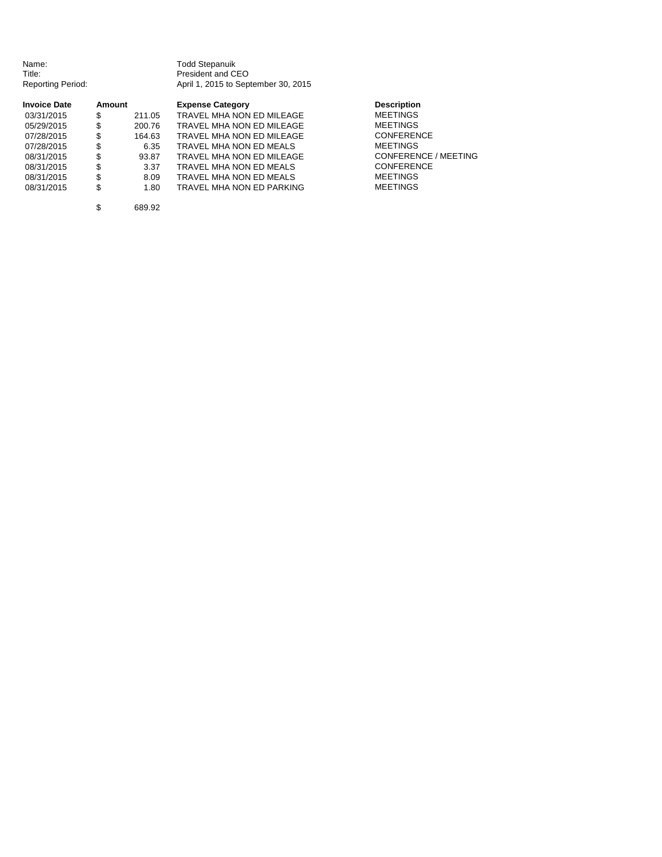Name: Todd Stepanuik<br>Title: Title: Title: Title: The Stepanuik<br>President and Cl

Title: President and CEO<br>
Reporting Period: Capacity April 1, 2015 to Sep April 1, 2015 to September 30, 2015

| <b>Invoice Date</b> | <b>Amount</b> |        | <b>Expense Category</b>   | <b>Description</b> |
|---------------------|---------------|--------|---------------------------|--------------------|
| 03/31/2015          | \$            | 211.05 | TRAVEL MHA NON ED MILEAGE | <b>MEETINGS</b>    |
| 05/29/2015          | \$            | 200.76 | TRAVEL MHA NON ED MILEAGE | <b>MEETINGS</b>    |
| 07/28/2015          | \$            | 164.63 | TRAVEL MHA NON ED MILEAGE | <b>CONFERENCE</b>  |
| 07/28/2015          | \$            | 6.35   | TRAVEL MHA NON ED MEALS   | <b>MEETINGS</b>    |
| 08/31/2015          | \$            | 93.87  | TRAVEL MHA NON ED MILEAGE | CONFERENCE         |
| 08/31/2015          | \$            | 3.37   | TRAVEL MHA NON ED MEALS   | CONFERENCE         |
| 08/31/2015          | \$            | 8.09   | TRAVEL MHA NON ED MEALS   | <b>MEETINGS</b>    |
| 08/31/2015          | \$            | 1.80   | TRAVEL MHA NON ED PARKING | <b>MEETINGS</b>    |
|                     | \$            | 689.92 |                           |                    |

CONFERENCE **MEETINGS** CONFERENCE / MEETING **MEETINGS**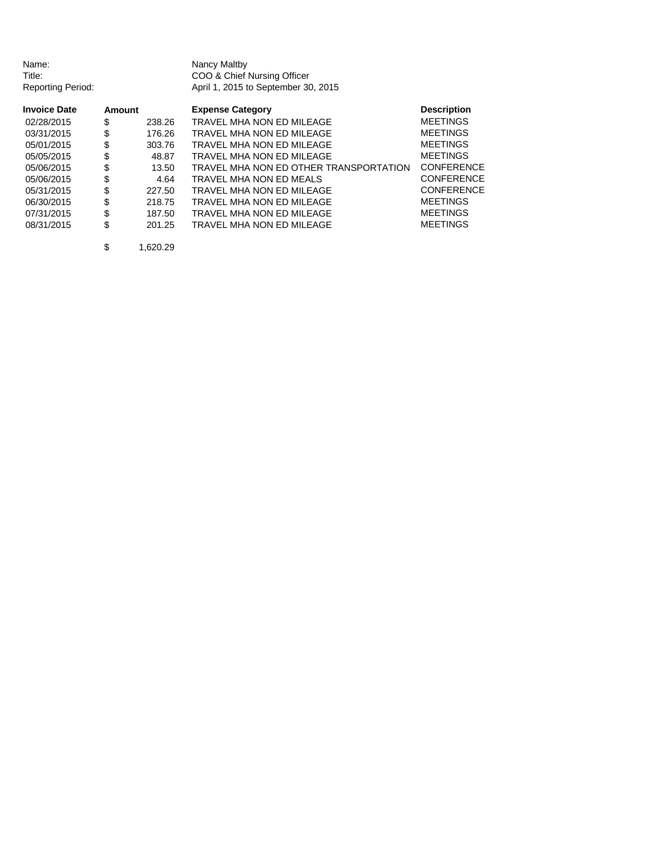Name: Name: Name Nancy Maltby<br>
Title: COO & Chief I

Title: COO & Chief Nursing Officer<br>Reporting Period: April 1, 2015 to September 30 April 1, 2015 to September 30, 2015

| <b>Invoice Date</b> | Amount |        | <b>Expense Category</b>                | <b>Description</b> |
|---------------------|--------|--------|----------------------------------------|--------------------|
| 02/28/2015          | \$     | 238.26 | TRAVEL MHA NON ED MILEAGE              | <b>MEETINGS</b>    |
| 03/31/2015          | \$     | 176.26 | TRAVEL MHA NON ED MILEAGE              | <b>MEETINGS</b>    |
| 05/01/2015          | \$     | 303.76 | TRAVEL MHA NON ED MILEAGE              | <b>MEETINGS</b>    |
| 05/05/2015          | \$     | 48.87  | TRAVEL MHA NON ED MILEAGE              | <b>MEETINGS</b>    |
| 05/06/2015          | \$     | 13.50  | TRAVEL MHA NON ED OTHER TRANSPORTATION | <b>CONFERENCE</b>  |
| 05/06/2015          | \$     | 4.64   | TRAVEL MHA NON ED MEALS                | <b>CONFERENCE</b>  |
| 05/31/2015          | \$     | 227.50 | TRAVEL MHA NON ED MILEAGE              | <b>CONFERENCE</b>  |
| 06/30/2015          | S      | 218.75 | TRAVEL MHA NON ED MILEAGE              | <b>MEETINGS</b>    |
| 07/31/2015          | S      | 187.50 | TRAVEL MHA NON ED MILEAGE              | <b>MEETINGS</b>    |
| 08/31/2015          | S      | 201.25 | TRAVEL MHA NON ED MILEAGE              | <b>MEETINGS</b>    |

 $$ 1,620.29$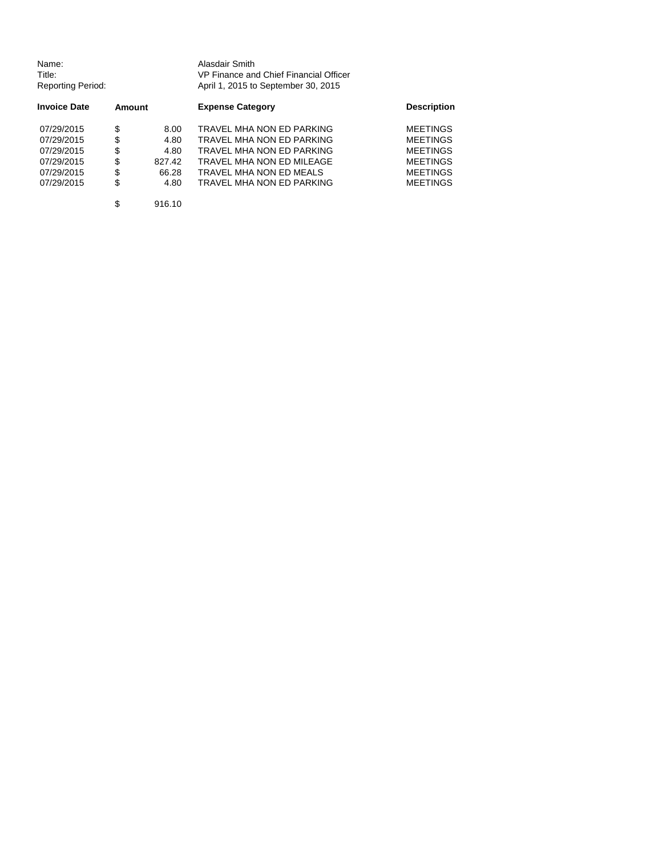| Name:             | Alasdair Smith                         |
|-------------------|----------------------------------------|
| Title:            | VP Finance and Chief Financial Officer |
| Reporting Period: | April 1, 2015 to September 30, 2015    |

| <b>Invoice Date</b> | Amount |        | <b>Expense Category</b>   | <b>Description</b> |
|---------------------|--------|--------|---------------------------|--------------------|
| 07/29/2015          | \$     | 8.00   | TRAVEL MHA NON ED PARKING | <b>MEETINGS</b>    |
| 07/29/2015          | \$     | 4.80   | TRAVEL MHA NON ED PARKING | <b>MEETINGS</b>    |
| 07/29/2015          | \$     | 4.80   | TRAVEL MHA NON ED PARKING | <b>MEETINGS</b>    |
| 07/29/2015          | \$     | 827.42 | TRAVEL MHA NON ED MILEAGE | <b>MEETINGS</b>    |
| 07/29/2015          | \$     | 66.28  | TRAVEL MHA NON ED MEALS   | <b>MEETINGS</b>    |
| 07/29/2015          | \$     | 4.80   | TRAVEL MHA NON ED PARKING | <b>MEETINGS</b>    |

\$ 916.10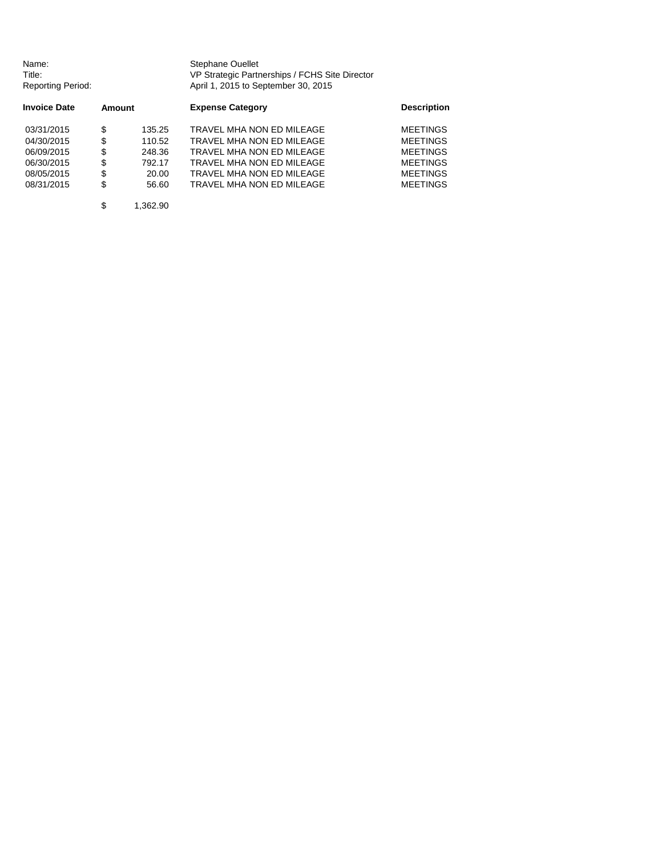| Name:<br>Title:<br><b>Reporting Period:</b> |        | <b>Stephane Ouellet</b><br>VP Strategic Partnerships / FCHS Site Director<br>April 1, 2015 to September 30, 2015 |                    |
|---------------------------------------------|--------|------------------------------------------------------------------------------------------------------------------|--------------------|
| <b>Invoice Date</b>                         | Amount | <b>Expense Category</b>                                                                                          | <b>Description</b> |

| 03/31/2015 | \$ | 135.25 | TRAVEL MHA NON ED MILEAGE | <b>MEETINGS</b> |
|------------|----|--------|---------------------------|-----------------|
| 04/30/2015 | S  | 110.52 | TRAVEL MHA NON ED MILEAGE | <b>MEETINGS</b> |
| 06/09/2015 | S  | 248.36 | TRAVEL MHA NON ED MILEAGE | <b>MEETINGS</b> |
| 06/30/2015 | S  | 792.17 | TRAVEL MHA NON ED MILEAGE | <b>MEETINGS</b> |
| 08/05/2015 | S  | 20.00  | TRAVEL MHA NON ED MILEAGE | <b>MFFTINGS</b> |
| 08/31/2015 | S  | 56.60  | TRAVEL MHA NON ED MILEAGE | <b>MFFTINGS</b> |

\$ 1,362.90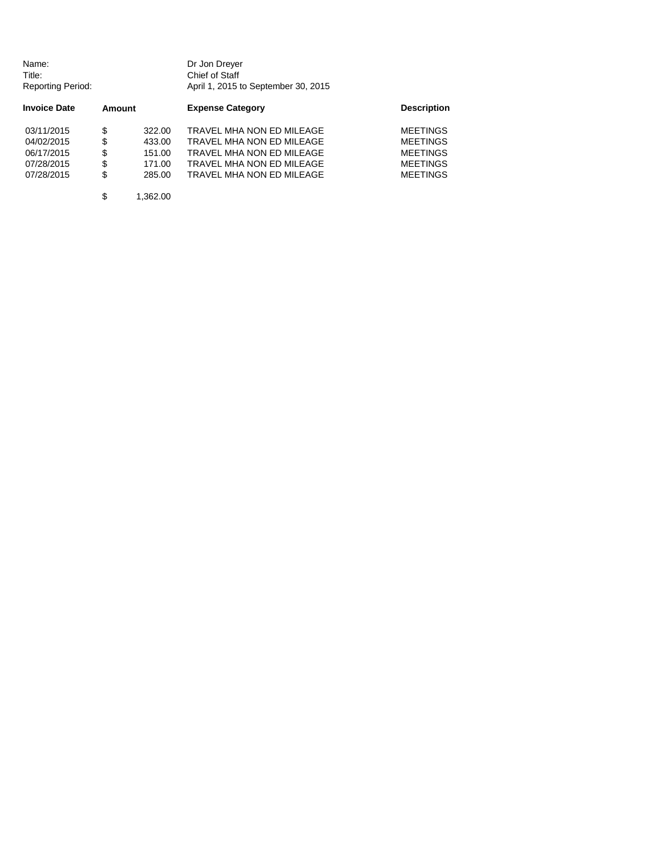| Name:<br>Title:<br><b>Reporting Period:</b> |        |          | Dr Jon Dreyer<br>Chief of Staff<br>April 1, 2015 to September 30, 2015 |                    |
|---------------------------------------------|--------|----------|------------------------------------------------------------------------|--------------------|
| <b>Invoice Date</b>                         | Amount |          | <b>Expense Category</b>                                                | <b>Description</b> |
| 03/11/2015                                  | \$     | 322.00   | TRAVEL MHA NON ED MILEAGE                                              | <b>MEETINGS</b>    |
| 04/02/2015                                  | \$     | 433.00   | TRAVEL MHA NON ED MILEAGE                                              | <b>MEETINGS</b>    |
| 06/17/2015                                  | \$     | 151.00   | TRAVEL MHA NON ED MILEAGE                                              | <b>MEETINGS</b>    |
| 07/28/2015                                  | \$     | 171.00   | TRAVEL MHA NON ED MILEAGE                                              | <b>MEETINGS</b>    |
| 07/28/2015                                  | \$     | 285.00   | TRAVEL MHA NON ED MILEAGE                                              | <b>MEETINGS</b>    |
|                                             | \$     | 1.362.00 |                                                                        |                    |